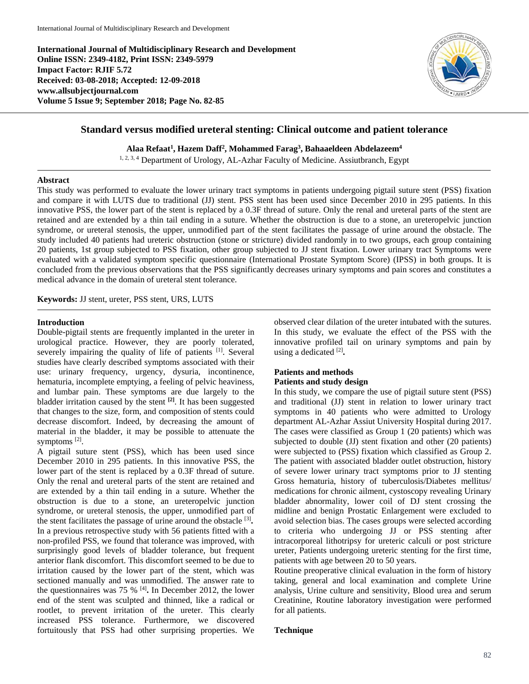**International Journal of Multidisciplinary Research and Development Online ISSN: 2349-4182, Print ISSN: 2349-5979 Impact Factor: RJIF 5.72 Received: 03-08-2018; Accepted: 12-09-2018 www.allsubjectjournal.com Volume 5 Issue 9; September 2018; Page No. 82-85**



# **Standard versus modified ureteral stenting: Clinical outcome and patient tolerance**

**Alaa Refaat1 , Hazem Daff2 , Mohammed Farag3 , Bahaaeldeen Abdelazeem4**

1, 2, 3, 4 Department of Urology, AL-Azhar Faculty of Medicine. Assiutbranch, Egypt

## **Abstract**

This study was performed to evaluate the lower urinary tract symptoms in patients undergoing pigtail suture stent (PSS) fixation and compare it with LUTS due to traditional (JJ) stent. PSS stent has been used since December 2010 in 295 patients. In this innovative PSS, the lower part of the stent is replaced by a 0.3F thread of suture. Only the renal and ureteral parts of the stent are retained and are extended by a thin tail ending in a suture. Whether the obstruction is due to a stone, an ureteropelvic junction syndrome, or ureteral stenosis, the upper, unmodified part of the stent facilitates the passage of urine around the obstacle. The study included 40 patients had ureteric obstruction (stone or stricture) divided randomly in to two groups, each group containing 20 patients, 1st group subjected to PSS fixation, other group subjected to JJ stent fixation. Lower urinary tract Symptoms were evaluated with a validated symptom specific questionnaire (International Prostate Symptom Score) (IPSS) in both groups. It is concluded from the previous observations that the PSS significantly decreases urinary symptoms and pain scores and constitutes a medical advance in the domain of ureteral stent tolerance.

**Keywords:** JJ stent, ureter, PSS stent, URS, LUTS

## **Introduction**

Double-pigtail stents are frequently implanted in the ureter in urological practice. However, they are poorly tolerated, severely impairing the quality of life of patients [1]. Several studies have clearly described symptoms associated with their use: urinary frequency, urgency, dysuria, incontinence, hematuria, incomplete emptying, a feeling of pelvic heaviness, and lumbar pain. These symptoms are due largely to the bladder irritation caused by the stent **[2]**. It has been suggested that changes to the size, form, and composition of stents could decrease discomfort. Indeed, by decreasing the amount of material in the bladder, it may be possible to attenuate the symptoms [2].

A pigtail suture stent (PSS), which has been used since December 2010 in 295 patients. In this innovative PSS, the lower part of the stent is replaced by a 0.3F thread of suture. Only the renal and ureteral parts of the stent are retained and are extended by a thin tail ending in a suture. Whether the obstruction is due to a stone, an ureteropelvic junction syndrome, or ureteral stenosis, the upper, unmodified part of the stent facilitates the passage of urine around the obstacle [3]**.** In a previous retrospective study with 56 patients fitted with a non-profiled PSS, we found that tolerance was improved, with surprisingly good levels of bladder tolerance, but frequent anterior flank discomfort. This discomfort seemed to be due to irritation caused by the lower part of the stent, which was sectioned manually and was unmodified. The answer rate to the questionnaires was 75 % [4]**.** In December 2012, the lower end of the stent was sculpted and thinned, like a radical or rootlet, to prevent irritation of the ureter. This clearly increased PSS tolerance. Furthermore, we discovered fortuitously that PSS had other surprising properties. We observed clear dilation of the ureter intubated with the sutures. In this study, we evaluate the effect of the PSS with the innovative profiled tail on urinary symptoms and pain by using a dedicated [2]**.**

## **Patients and methods Patients and study design**

In this study, we compare the use of pigtail suture stent (PSS) and traditional (JJ) stent in relation to lower urinary tract symptoms in 40 patients who were admitted to Urology department AL-Azhar Assiut University Hospital during 2017. The cases were classified as Group 1 (20 patients) which was subjected to double (JJ) stent fixation and other (20 patients) were subjected to (PSS) fixation which classified as Group 2. The patient with associated bladder outlet obstruction, history of severe lower urinary tract symptoms prior to JJ stenting Gross hematuria, history of tuberculosis/Diabetes mellitus/ medications for chronic ailment, cystoscopy revealing Urinary bladder abnormality, lower coil of DJ stent crossing the midline and benign Prostatic Enlargement were excluded to avoid selection bias. The cases groups were selected according to criteria who undergoing JJ or PSS stenting after intracorporeal lithotripsy for ureteric calculi or post stricture ureter, Patients undergoing ureteric stenting for the first time, patients with age between 20 to 50 years.

Routine preoperative clinical evaluation in the form of history taking, general and local examination and complete Urine analysis, Urine culture and sensitivity, Blood urea and serum Creatinine, Routine laboratory investigation were performed for all patients.

## **Technique**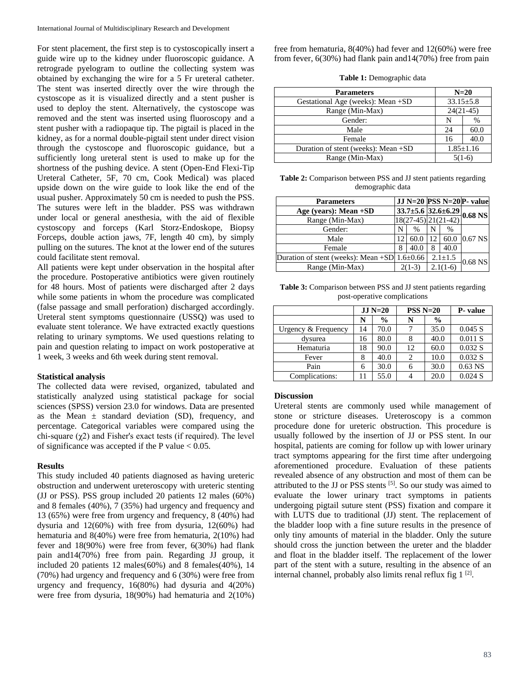For stent placement, the first step is to cystoscopically insert a guide wire up to the kidney under fluoroscopic guidance. A retrograde pyelogram to outline the collecting system was obtained by exchanging the wire for a 5 Fr ureteral catheter. The stent was inserted directly over the wire through the cystoscope as it is visualized directly and a stent pusher is used to deploy the stent. Alternatively, the cystoscope was removed and the stent was inserted using fluoroscopy and a stent pusher with a radiopaque tip. The pigtail is placed in the kidney, as for a normal double-pigtail stent under direct vision through the cystoscope and fluoroscopic guidance, but a sufficiently long ureteral stent is used to make up for the shortness of the pushing device. A stent (Open-End Flexi-Tip Ureteral Catheter, 5F, 70 cm, Cook Medical) was placed upside down on the wire guide to look like the end of the usual pusher. Approximately 50 cm is needed to push the PSS. The sutures were left in the bladder. PSS was withdrawn under local or general anesthesia, with the aid of flexible cystoscopy and forceps (Karl Storz-Endoskope, Biopsy Forceps, double action jaws, 7F, length 40 cm), by simply pulling on the sutures. The knot at the lower end of the sutures could facilitate stent removal.

All patients were kept under observation in the hospital after the procedure. Postoperative antibiotics were given routinely for 48 hours. Most of patients were discharged after 2 days while some patients in whom the procedure was complicated (false passage and small perforation) discharged accordingly. Ureteral stent symptoms questionnaire (USSQ) was used to evaluate stent tolerance. We have extracted exactly questions relating to urinary symptoms. We used questions relating to pain and question relating to impact on work postoperative at 1 week, 3 weeks and 6th week during stent removal.

#### **Statistical analysis**

The collected data were revised, organized, tabulated and statistically analyzed using statistical package for social sciences (SPSS) version 23.0 for windows. Data are presented as the Mean  $\pm$  standard deviation (SD), frequency, and percentage. Categorical variables were compared using the chi-square  $(\chi^2)$  and Fisher's exact tests (if required). The level of significance was accepted if the P value  $< 0.05$ .

#### **Results**

This study included 40 patients diagnosed as having ureteric obstruction and underwent ureteroscopy with ureteric stenting (JJ or PSS). PSS group included 20 patients 12 males (60%) and 8 females (40%), 7 (35%) had urgency and frequency and 13 (65%) were free from urgency and frequency, 8 (40%) had dysuria and 12(60%) with free from dysuria, 12(60%) had hematuria and 8(40%) were free from hematuria, 2(10%) had fever and 18(90%) were free from fever, 6(30%) had flank pain and14(70%) free from pain. Regarding JJ group, it included 20 patients 12 males(60%) and 8 females(40%), 14 (70%) had urgency and frequency and 6 (30%) were free from urgency and frequency, 16(80%) had dysuria and 4(20%) were free from dysuria, 18(90%) had hematuria and 2(10%) free from hematuria, 8(40%) had fever and 12(60%) were free from fever, 6(30%) had flank pain and14(70%) free from pain

**Table 1:** Demographic data

| <b>Parameters</b>                   | $N=20$          |      |  |
|-------------------------------------|-----------------|------|--|
| Gestational Age (weeks): Mean +SD   | $33.15 \pm 5.8$ |      |  |
| Range (Min-Max)                     | $24(21-45)$     |      |  |
| Gender:                             | N               | %    |  |
| Male                                | 24              | 60.0 |  |
| Female                              | 16              | 40.0 |  |
| Duration of stent (weeks): Mean +SD | $1.85 \pm 1.16$ |      |  |
| Range (Min-Max)                     | $5(1-6)$        |      |  |

**Table 2:** Comparison between PSS and JJ stent patients regarding demographic data

| <b>Parameters</b>                                    |          |                         |               |      | JJ N=20 PSS N=20 P- value                             |
|------------------------------------------------------|----------|-------------------------|---------------|------|-------------------------------------------------------|
| Age (years): Mean $+SD$                              |          |                         |               |      | $\frac{33.7 \pm 5.6}{33.7 \pm 5.6}$ 32.6±6.29 0.68 NS |
| Range (Min-Max)                                      |          | $18(27-45)$ $21(21-42)$ |               |      |                                                       |
| Gender:                                              | N        | %                       | N             | %    |                                                       |
| Male                                                 | 12       | 60.0                    | 12            |      | 60.0 0.67 NS                                          |
| Female                                               | 8        | 40.0                    | 8             | 40.0 |                                                       |
| Duration of stent (weeks): Mean $+SD$ 1.6 $\pm$ 0.66 |          |                         | $2.1 \pm 1.5$ |      | $0.68$ NS                                             |
| Range (Min-Max)                                      | $2(1-3)$ |                         | $2.1(1-6)$    |      |                                                       |

**Table 3:** Comparison between PSS and JJ stent patients regarding post-operative complications

|                     | $JJ N=20$ |               | $PSS N=20$ |               | P- value  |
|---------------------|-----------|---------------|------------|---------------|-----------|
|                     | N         | $\frac{0}{0}$ | N          | $\frac{0}{0}$ |           |
| Urgency & Frequency | 14        | 70.0          |            | 35.0          | 0.045 S   |
| dysurea             | 16        | 80.0          |            | 40.0          | 0.011 S   |
| Hematuria           | 18        | 90.0          | 12         | 60.0          | 0.032 S   |
| Fever               |           | 40.0          |            | 10.0          | 0.032 S   |
| Pain                | 6         | 30.0          |            | 30.0          | $0.63$ NS |
| Complications:      |           | 55.0          |            | 20.0          | 0.024 S   |

#### **Discussion**

Ureteral stents are commonly used while management of stone or stricture diseases. Ureteroscopy is a common procedure done for ureteric obstruction. This procedure is usually followed by the insertion of JJ or PSS stent. In our hospital, patients are coming for follow up with lower urinary tract symptoms appearing for the first time after undergoing aforementioned procedure. Evaluation of these patients revealed absence of any obstruction and most of them can be attributed to the JJ or PSS stents [5]. So our study was aimed to evaluate the lower urinary tract symptoms in patients undergoing pigtail suture stent (PSS) fixation and compare it with LUTS due to traditional (JJ) stent. The replacement of the bladder loop with a fine suture results in the presence of only tiny amounts of material in the bladder. Only the suture should cross the junction between the ureter and the bladder and float in the bladder itself. The replacement of the lower part of the stent with a suture, resulting in the absence of an internal channel, probably also limits renal reflux fig 1<sup>[2]</sup>.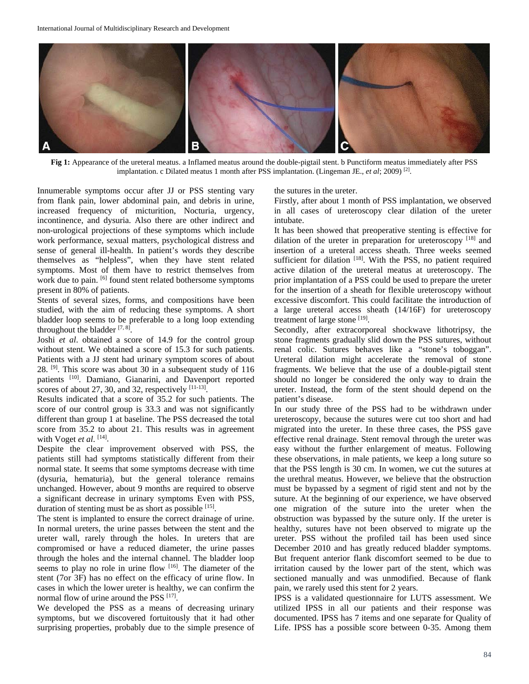

**Fig 1:** Appearance of the ureteral meatus. a Inflamed meatus around the double-pigtail stent. b Punctiform meatus immediately after PSS implantation. c Dilated meatus 1 month after PSS implantation. (Lingeman JE., *et al*; 2009) [2].

Innumerable symptoms occur after JJ or PSS stenting vary from flank pain, lower abdominal pain, and debris in urine, increased frequency of micturition, Nocturia, urgency, incontinence, and dysuria. Also there are other indirect and non-urological projections of these symptoms which include work performance, sexual matters, psychological distress and sense of general ill-health. In patient's words they describe themselves as "helpless", when they have stent related symptoms. Most of them have to restrict themselves from work due to pain. <sup>[6]</sup> found stent related bothersome symptoms present in 80% of patients.

Stents of several sizes, forms, and compositions have been studied, with the aim of reducing these symptoms. A short bladder loop seems to be preferable to a long loop extending throughout the bladder  $[7, 8]$ .

Joshi *et al*. obtained a score of 14.9 for the control group without stent. We obtained a score of 15.3 for such patients. Patients with a JJ stent had urinary symptom scores of about 28. [9] . This score was about 30 in a subsequent study of 116 patients <sup>[10]</sup>. Damiano, Gianarini, and Davenport reported scores of about 27, 30, and 32, respectively  $[11-13]$ .

Results indicated that a score of 35.2 for such patients. The score of our control group is 33.3 and was not significantly different than group 1 at baseline. The PSS decreased the total score from 35.2 to about 21. This results was in agreement with Voget *et al*.<sup>[14]</sup>.

Despite the clear improvement observed with PSS, the patients still had symptoms statistically different from their normal state. It seems that some symptoms decrease with time (dysuria, hematuria), but the general tolerance remains unchanged. However, about 9 months are required to observe a significant decrease in urinary symptoms Even with PSS, duration of stenting must be as short as possible [15].

The stent is implanted to ensure the correct drainage of urine. In normal ureters, the urine passes between the stent and the ureter wall, rarely through the holes. In ureters that are compromised or have a reduced diameter, the urine passes through the holes and the internal channel. The bladder loop seems to play no role in urine flow [16]. The diameter of the stent (7or 3F) has no effect on the efficacy of urine flow. In cases in which the lower ureter is healthy, we can confirm the normal flow of urine around the PSS [17].

We developed the PSS as a means of decreasing urinary symptoms, but we discovered fortuitously that it had other surprising properties, probably due to the simple presence of the sutures in the ureter.

Firstly, after about 1 month of PSS implantation, we observed in all cases of ureteroscopy clear dilation of the ureter intubate.

It has been showed that preoperative stenting is effective for dilation of the ureter in preparation for ureteroscopy [18] and insertion of a ureteral access sheath. Three weeks seemed sufficient for dilation [18]. With the PSS, no patient required active dilation of the ureteral meatus at ureteroscopy. The prior implantation of a PSS could be used to prepare the ureter for the insertion of a sheath for flexible ureteroscopy without excessive discomfort. This could facilitate the introduction of a large ureteral access sheath (14/16F) for ureteroscopy treatment of large stone [19].

Secondly, after extracorporeal shockwave lithotripsy, the stone fragments gradually slid down the PSS sutures, without renal colic. Sutures behaves like a "stone's toboggan". Ureteral dilation might accelerate the removal of stone fragments. We believe that the use of a double-pigtail stent should no longer be considered the only way to drain the ureter. Instead, the form of the stent should depend on the patient's disease.

In our study three of the PSS had to be withdrawn under ureteroscopy, because the sutures were cut too short and had migrated into the ureter. In these three cases, the PSS gave effective renal drainage. Stent removal through the ureter was easy without the further enlargement of meatus. Following these observations, in male patients, we keep a long suture so that the PSS length is 30 cm. In women, we cut the sutures at the urethral meatus. However, we believe that the obstruction must be bypassed by a segment of rigid stent and not by the suture. At the beginning of our experience, we have observed one migration of the suture into the ureter when the obstruction was bypassed by the suture only. If the ureter is healthy, sutures have not been observed to migrate up the ureter. PSS without the profiled tail has been used since December 2010 and has greatly reduced bladder symptoms. But frequent anterior flank discomfort seemed to be due to irritation caused by the lower part of the stent, which was sectioned manually and was unmodified. Because of flank pain, we rarely used this stent for 2 years.

IPSS is a validated questionnaire for LUTS assessment. We utilized IPSS in all our patients and their response was documented. IPSS has 7 items and one separate for Quality of Life. IPSS has a possible score between 0-35. Among them